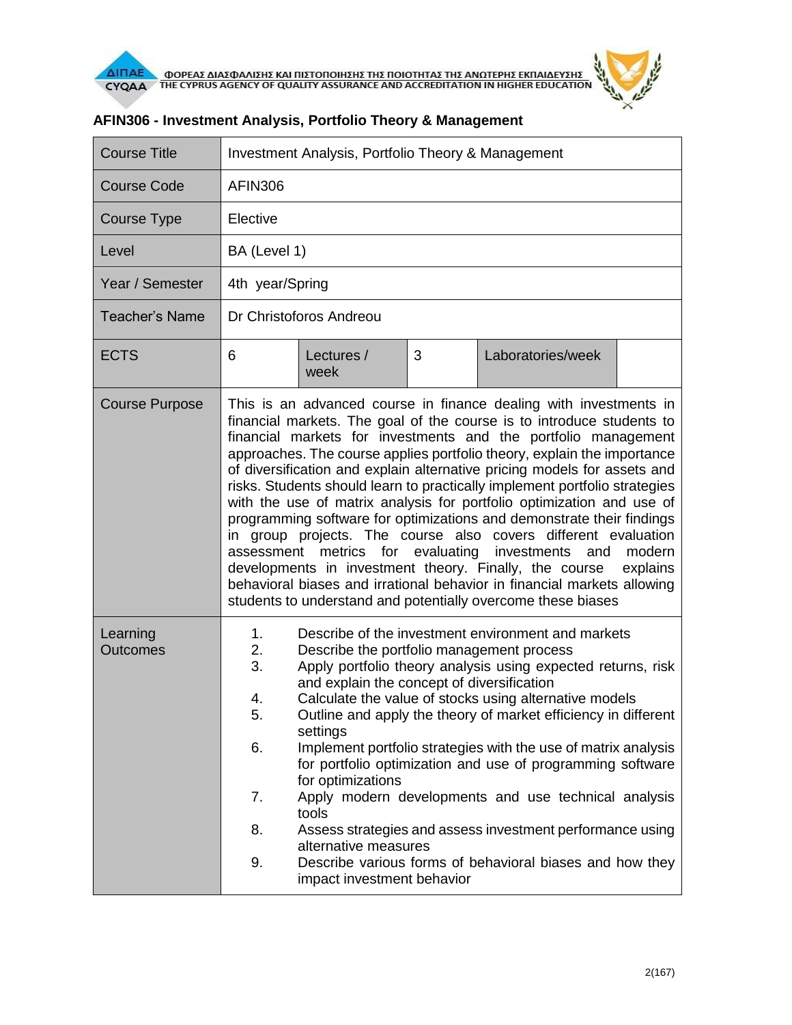

| <b>Course Title</b>         | Investment Analysis, Portfolio Theory & Management                                                                                                                                                                                                                                                                                                                                                                                                                                                                                                                                                                                                                                                                                                                                                                                                                                                                                                          |                                                                                                                                                                                         |   |                                                                                                                                                                                                                                                                                                                                                                                                                                                                                                                                                                 |  |  |
|-----------------------------|-------------------------------------------------------------------------------------------------------------------------------------------------------------------------------------------------------------------------------------------------------------------------------------------------------------------------------------------------------------------------------------------------------------------------------------------------------------------------------------------------------------------------------------------------------------------------------------------------------------------------------------------------------------------------------------------------------------------------------------------------------------------------------------------------------------------------------------------------------------------------------------------------------------------------------------------------------------|-----------------------------------------------------------------------------------------------------------------------------------------------------------------------------------------|---|-----------------------------------------------------------------------------------------------------------------------------------------------------------------------------------------------------------------------------------------------------------------------------------------------------------------------------------------------------------------------------------------------------------------------------------------------------------------------------------------------------------------------------------------------------------------|--|--|
| <b>Course Code</b>          | <b>AFIN306</b>                                                                                                                                                                                                                                                                                                                                                                                                                                                                                                                                                                                                                                                                                                                                                                                                                                                                                                                                              |                                                                                                                                                                                         |   |                                                                                                                                                                                                                                                                                                                                                                                                                                                                                                                                                                 |  |  |
| Course Type                 | Elective                                                                                                                                                                                                                                                                                                                                                                                                                                                                                                                                                                                                                                                                                                                                                                                                                                                                                                                                                    |                                                                                                                                                                                         |   |                                                                                                                                                                                                                                                                                                                                                                                                                                                                                                                                                                 |  |  |
| Level                       | BA (Level 1)                                                                                                                                                                                                                                                                                                                                                                                                                                                                                                                                                                                                                                                                                                                                                                                                                                                                                                                                                |                                                                                                                                                                                         |   |                                                                                                                                                                                                                                                                                                                                                                                                                                                                                                                                                                 |  |  |
| Year / Semester             | 4th year/Spring                                                                                                                                                                                                                                                                                                                                                                                                                                                                                                                                                                                                                                                                                                                                                                                                                                                                                                                                             |                                                                                                                                                                                         |   |                                                                                                                                                                                                                                                                                                                                                                                                                                                                                                                                                                 |  |  |
| <b>Teacher's Name</b>       | Dr Christoforos Andreou                                                                                                                                                                                                                                                                                                                                                                                                                                                                                                                                                                                                                                                                                                                                                                                                                                                                                                                                     |                                                                                                                                                                                         |   |                                                                                                                                                                                                                                                                                                                                                                                                                                                                                                                                                                 |  |  |
| <b>ECTS</b>                 | 6                                                                                                                                                                                                                                                                                                                                                                                                                                                                                                                                                                                                                                                                                                                                                                                                                                                                                                                                                           | Lectures /<br>week                                                                                                                                                                      | 3 | Laboratories/week                                                                                                                                                                                                                                                                                                                                                                                                                                                                                                                                               |  |  |
| <b>Course Purpose</b>       | This is an advanced course in finance dealing with investments in<br>financial markets. The goal of the course is to introduce students to<br>financial markets for investments and the portfolio management<br>approaches. The course applies portfolio theory, explain the importance<br>of diversification and explain alternative pricing models for assets and<br>risks. Students should learn to practically implement portfolio strategies<br>with the use of matrix analysis for portfolio optimization and use of<br>programming software for optimizations and demonstrate their findings<br>in group projects. The course also covers different evaluation<br>assessment metrics for evaluating<br>modern<br>investments<br>and<br>developments in investment theory. Finally, the course<br>explains<br>behavioral biases and irrational behavior in financial markets allowing<br>students to understand and potentially overcome these biases |                                                                                                                                                                                         |   |                                                                                                                                                                                                                                                                                                                                                                                                                                                                                                                                                                 |  |  |
| Learning<br><b>Outcomes</b> | 1.<br>2.<br>3.<br>4.<br>г,<br>6.<br>7.<br>8.<br>9.                                                                                                                                                                                                                                                                                                                                                                                                                                                                                                                                                                                                                                                                                                                                                                                                                                                                                                          | Describe the portfolio management process<br>and explain the concept of diversification<br>settings<br>for optimizations<br>tools<br>alternative measures<br>impact investment behavior |   | Describe of the investment environment and markets<br>Apply portfolio theory analysis using expected returns, risk<br>Calculate the value of stocks using alternative models<br>Outline and apply the theory of market efficiency in different<br>Implement portfolio strategies with the use of matrix analysis<br>for portfolio optimization and use of programming software<br>Apply modern developments and use technical analysis<br>Assess strategies and assess investment performance using<br>Describe various forms of behavioral biases and how they |  |  |

## **AFIN306 - Investment Analysis, Portfolio Theory & Management**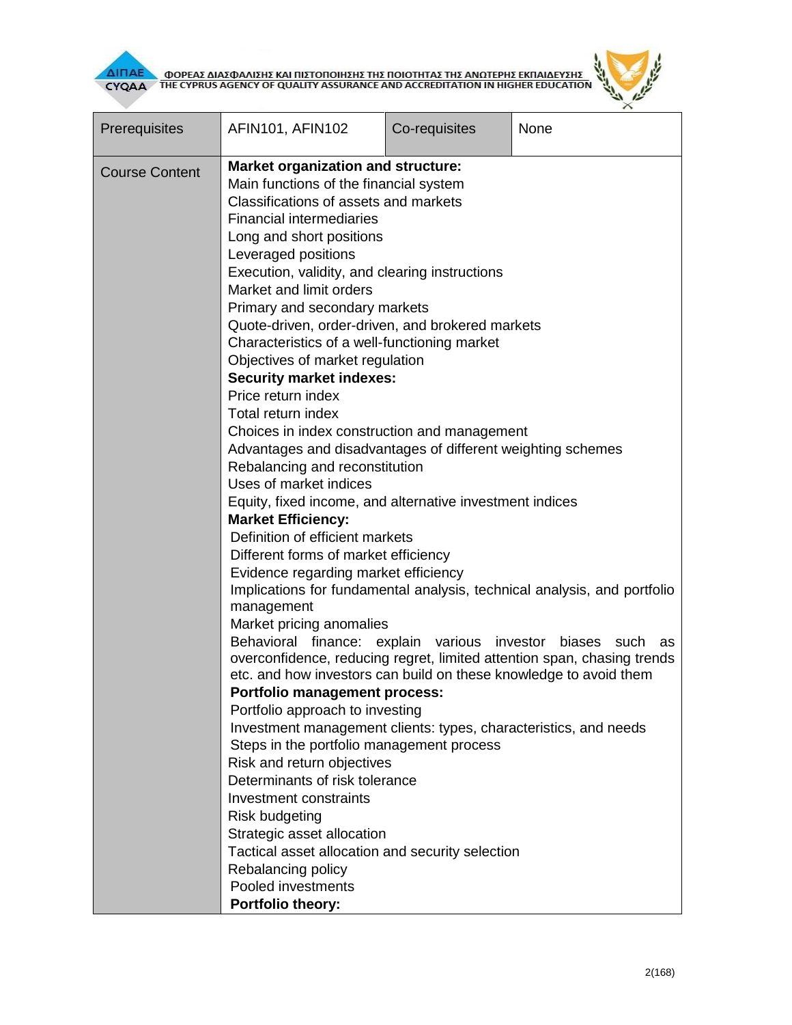



| Prerequisites         | AFIN101, AFIN102                                                                                                                                                                                                                                                                                                                                                                                                                                                                                                                                                                                                                                                                                                                                                                                                                                                                                                                                                                                                                                                                                                                                                                                                                                                                                                                                                                                                                                                                     | Co-requisites   | None                                                                                                                                                                                    |  |  |  |
|-----------------------|--------------------------------------------------------------------------------------------------------------------------------------------------------------------------------------------------------------------------------------------------------------------------------------------------------------------------------------------------------------------------------------------------------------------------------------------------------------------------------------------------------------------------------------------------------------------------------------------------------------------------------------------------------------------------------------------------------------------------------------------------------------------------------------------------------------------------------------------------------------------------------------------------------------------------------------------------------------------------------------------------------------------------------------------------------------------------------------------------------------------------------------------------------------------------------------------------------------------------------------------------------------------------------------------------------------------------------------------------------------------------------------------------------------------------------------------------------------------------------------|-----------------|-----------------------------------------------------------------------------------------------------------------------------------------------------------------------------------------|--|--|--|
| <b>Course Content</b> | <b>Market organization and structure:</b><br>Main functions of the financial system<br>Classifications of assets and markets<br><b>Financial intermediaries</b><br>Long and short positions<br>Leveraged positions<br>Execution, validity, and clearing instructions<br>Market and limit orders<br>Primary and secondary markets<br>Quote-driven, order-driven, and brokered markets<br>Characteristics of a well-functioning market<br>Objectives of market regulation<br><b>Security market indexes:</b><br>Price return index<br>Total return index<br>Choices in index construction and management<br>Advantages and disadvantages of different weighting schemes<br>Rebalancing and reconstitution<br>Uses of market indices<br>Equity, fixed income, and alternative investment indices<br><b>Market Efficiency:</b><br>Definition of efficient markets<br>Different forms of market efficiency<br>Evidence regarding market efficiency<br>management<br>Market pricing anomalies<br>Behavioral finance:<br>etc. and how investors can build on these knowledge to avoid them<br><b>Portfolio management process:</b><br>Portfolio approach to investing<br>Investment management clients: types, characteristics, and needs<br>Steps in the portfolio management process<br>Risk and return objectives<br>Determinants of risk tolerance<br>Investment constraints<br><b>Risk budgeting</b><br>Strategic asset allocation<br>Tactical asset allocation and security selection | explain various | Implications for fundamental analysis, technical analysis, and portfolio<br>investor<br>biases<br>such<br>as<br>overconfidence, reducing regret, limited attention span, chasing trends |  |  |  |
|                       | Rebalancing policy<br>Pooled investments<br>Portfolio theory:                                                                                                                                                                                                                                                                                                                                                                                                                                                                                                                                                                                                                                                                                                                                                                                                                                                                                                                                                                                                                                                                                                                                                                                                                                                                                                                                                                                                                        |                 |                                                                                                                                                                                         |  |  |  |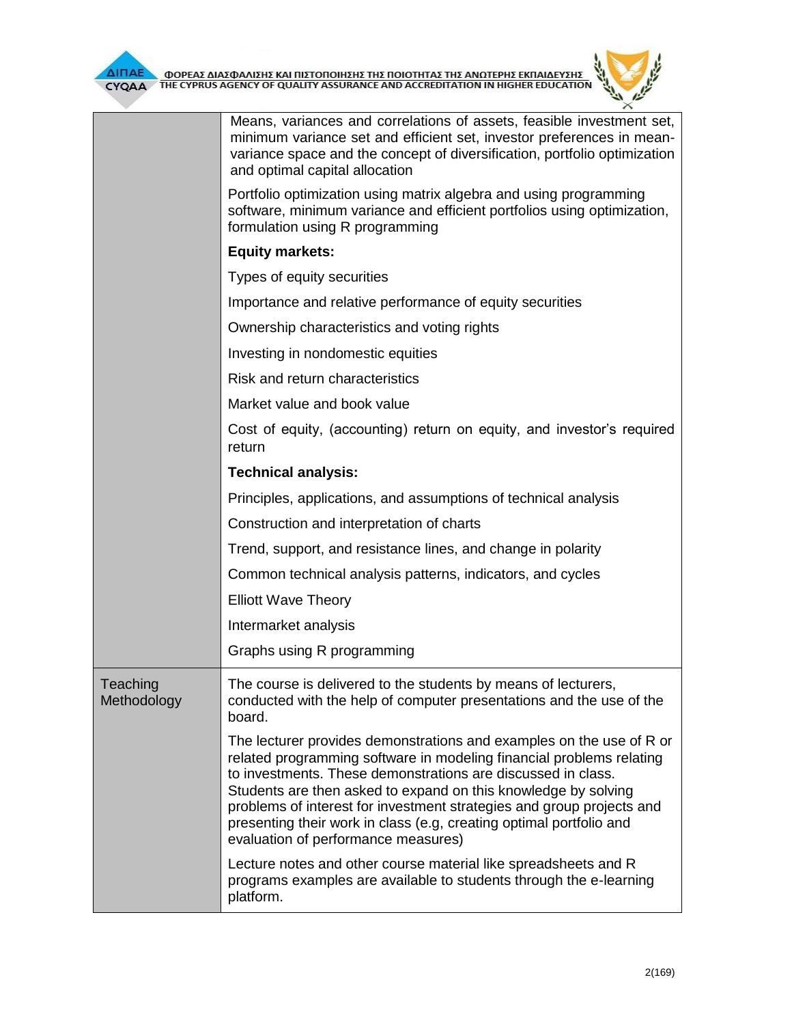

|                         | Means, variances and correlations of assets, feasible investment set,<br>minimum variance set and efficient set, investor preferences in mean-<br>variance space and the concept of diversification, portfolio optimization<br>and optimal capital allocation                                                                                                                                                                                                         |  |  |  |
|-------------------------|-----------------------------------------------------------------------------------------------------------------------------------------------------------------------------------------------------------------------------------------------------------------------------------------------------------------------------------------------------------------------------------------------------------------------------------------------------------------------|--|--|--|
|                         | Portfolio optimization using matrix algebra and using programming<br>software, minimum variance and efficient portfolios using optimization,<br>formulation using R programming                                                                                                                                                                                                                                                                                       |  |  |  |
|                         | <b>Equity markets:</b>                                                                                                                                                                                                                                                                                                                                                                                                                                                |  |  |  |
|                         | Types of equity securities                                                                                                                                                                                                                                                                                                                                                                                                                                            |  |  |  |
|                         | Importance and relative performance of equity securities                                                                                                                                                                                                                                                                                                                                                                                                              |  |  |  |
|                         | Ownership characteristics and voting rights                                                                                                                                                                                                                                                                                                                                                                                                                           |  |  |  |
|                         | Investing in nondomestic equities                                                                                                                                                                                                                                                                                                                                                                                                                                     |  |  |  |
|                         | Risk and return characteristics                                                                                                                                                                                                                                                                                                                                                                                                                                       |  |  |  |
|                         | Market value and book value                                                                                                                                                                                                                                                                                                                                                                                                                                           |  |  |  |
|                         | Cost of equity, (accounting) return on equity, and investor's required<br>return                                                                                                                                                                                                                                                                                                                                                                                      |  |  |  |
|                         | <b>Technical analysis:</b>                                                                                                                                                                                                                                                                                                                                                                                                                                            |  |  |  |
|                         | Principles, applications, and assumptions of technical analysis                                                                                                                                                                                                                                                                                                                                                                                                       |  |  |  |
|                         | Construction and interpretation of charts                                                                                                                                                                                                                                                                                                                                                                                                                             |  |  |  |
|                         | Trend, support, and resistance lines, and change in polarity                                                                                                                                                                                                                                                                                                                                                                                                          |  |  |  |
|                         | Common technical analysis patterns, indicators, and cycles                                                                                                                                                                                                                                                                                                                                                                                                            |  |  |  |
|                         | <b>Elliott Wave Theory</b>                                                                                                                                                                                                                                                                                                                                                                                                                                            |  |  |  |
|                         | Intermarket analysis                                                                                                                                                                                                                                                                                                                                                                                                                                                  |  |  |  |
|                         | Graphs using R programming                                                                                                                                                                                                                                                                                                                                                                                                                                            |  |  |  |
| Teaching<br>Methodology | The course is delivered to the students by means of lecturers,<br>conducted with the help of computer presentations and the use of the<br>board.                                                                                                                                                                                                                                                                                                                      |  |  |  |
|                         | The lecturer provides demonstrations and examples on the use of R or<br>related programming software in modeling financial problems relating<br>to investments. These demonstrations are discussed in class.<br>Students are then asked to expand on this knowledge by solving<br>problems of interest for investment strategies and group projects and<br>presenting their work in class (e.g, creating optimal portfolio and<br>evaluation of performance measures) |  |  |  |
|                         | Lecture notes and other course material like spreadsheets and R<br>programs examples are available to students through the e-learning<br>platform.                                                                                                                                                                                                                                                                                                                    |  |  |  |